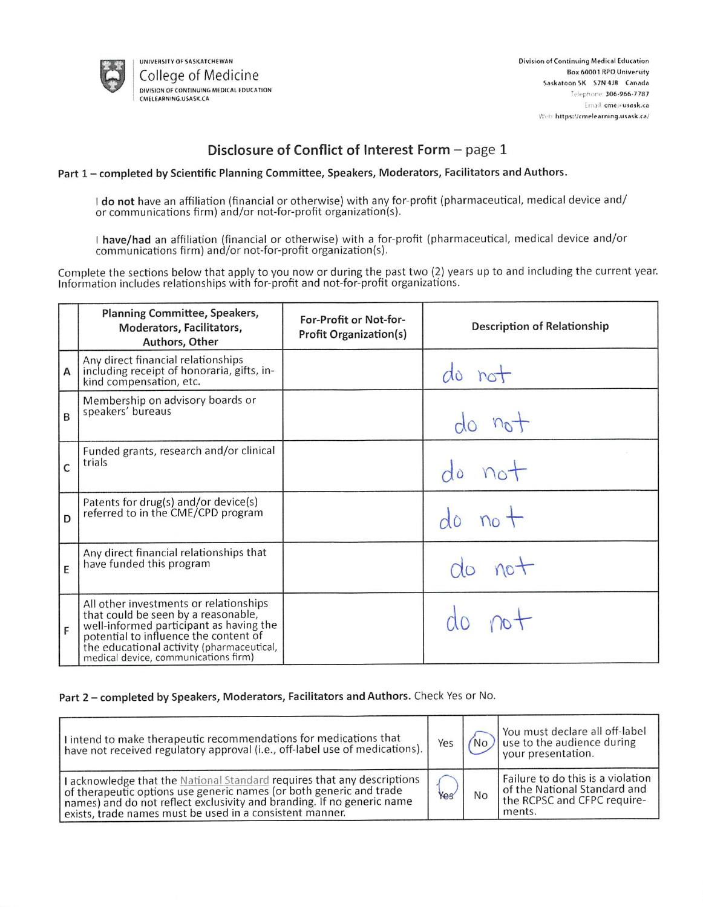

UNIVERSITY OF SASKATCHEWAN College of Medicine DIVISION OF CONTINUING MEDICAL EDUCATION CMELEARNING.USASK.CA

# Disclosure of Conflict of Interest Form - page 1

# Part 1 - completed by Scientific Planning Committee, Speakers, Moderators, Facilitators and Authors.

I do not have an affiliation (financial or otherwise) with any for-profit (pharmaceutical, medical device and/ or communications firm) and/or not-for-profit organization(s).

I have/had an affiliation (financial or otherwise) with a for-profit (pharmaceutical, medical device and/or communications firm) and/or not-for-profit organization(s).

Complete the sections below that apply to you now or during the past two (2) years up to and including the current year. Information includes relationships with for-profit and not-for-profit organizations.

|   | Planning Committee, Speakers,<br>Moderators, Facilitators,<br>Authors, Other                                                                                                                                                                           | For-Profit or Not-for-<br><b>Profit Organization(s)</b> | <b>Description of Relationship</b> |
|---|--------------------------------------------------------------------------------------------------------------------------------------------------------------------------------------------------------------------------------------------------------|---------------------------------------------------------|------------------------------------|
| Α | Any direct financial relationships<br>including receipt of honoraria, gifts, in-<br>kind compensation, etc.                                                                                                                                            |                                                         | do not                             |
| B | Membership on advisory boards or<br>speakers' bureaus                                                                                                                                                                                                  |                                                         |                                    |
| C | Funded grants, research and/or clinical<br>trials                                                                                                                                                                                                      |                                                         |                                    |
| D | Patents for drug(s) and/or device(s)<br>referred to in the CME/CPD program                                                                                                                                                                             |                                                         | $no +$                             |
| E | Any direct financial relationships that<br>have funded this program                                                                                                                                                                                    |                                                         | do not                             |
| F | All other investments or relationships<br>that could be seen by a reasonable,<br>well-informed participant as having the<br>potential to influence the content of<br>the educational activity (pharmaceutical,<br>medical device, communications firm) |                                                         |                                    |

# Part 2 - completed by Speakers, Moderators, Facilitators and Authors. Check Yes or No.

| I intend to make therapeutic recommendations for medications that<br>have not received regulatory approval (i.e., off-label use of medications).                                                                                                                                     | Yes |    | You must declare all off-label<br>No) use to the audience during<br>your presentation.                     |
|--------------------------------------------------------------------------------------------------------------------------------------------------------------------------------------------------------------------------------------------------------------------------------------|-----|----|------------------------------------------------------------------------------------------------------------|
| I acknowledge that the National Standard requires that any descriptions<br>of therapeutic options use generic names (or both generic and trade<br>names) and do not reflect exclusivity and branding. If no generic name<br>exists, trade names must be used in a consistent manner. | Yes | No | Failure to do this is a violation<br>of the National Standard and<br>the RCPSC and CFPC require-<br>ments. |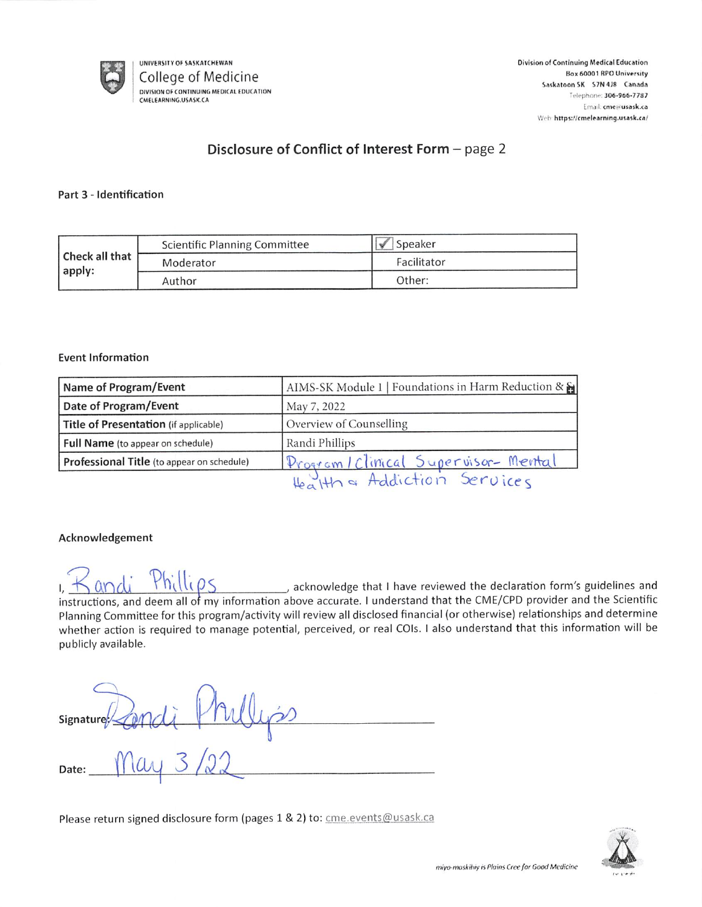

# Disclosure of Conflict of Interest Form - page 2

## Part 3 - Identification

|                | <b>Scientific Planning Committee</b> | $\mathscr{N}$<br>Speaker |
|----------------|--------------------------------------|--------------------------|
| Check all that | Moderator                            | Facilitator              |
| apply:         | Author                               | Other:                   |

## **Event Information**

| Name of Program/Event                      | AIMS-SK Module 1   Foundations in Harm Reduction & & |  |
|--------------------------------------------|------------------------------------------------------|--|
| Date of Program/Event                      | May 7, 2022                                          |  |
| Title of Presentation (if applicable)      | Overview of Counselling                              |  |
| Full Name (to appear on schedule)          | Randi Phillips                                       |  |
| Professional Title (to appear on schedule) | Program/Clinical Supervisor- Mental                  |  |
|                                            | Health & Addiction Services                          |  |

# Acknowledgement

acknowledge that I have reviewed the declaration form's guidelines and instructions, and deem all of my information above accurate. I understand that the CME/CPD provider and the Scientific Planning Committee for this program/activity will review all disclosed financial (or otherwise) relationships and determine whether action is required to manage potential, perceived, or real COIs. I also understand that this information will be publicly available.

| signature 2 and i | I۵ |
|-------------------|----|
| Date:             |    |

Please return signed disclosure form (pages 1 & 2) to: cme.events@usask.ca